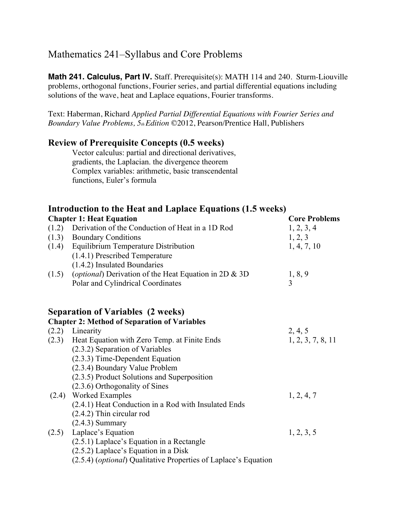# Mathematics 241–Syllabus and Core Problems

**Math 241. Calculus, Part IV.** Staff. Prerequisite(s): MATH 114 and 240. Sturm-Liouville problems, orthogonal functions, Fourier series, and partial differential equations including solutions of the wave, heat and Laplace equations, Fourier transforms.

Text: Haberman, Richard *Applied Partial Differential Equations with Fourier Series and Boundary Value Problems, 5th Edition* ©2012, Pearson/Prentice Hall, Publishers

#### **Review of Prerequisite Concepts (0.5 weeks)**

Vector calculus: partial and directional derivatives, gradients, the Laplacian. the divergence theorem Complex variables: arithmetic, basic transcendental functions, Euler's formula

### **Introduction to the Heat and Laplace Equations (1.5 weeks)**

| <b>Chapter 1: Heat Equation</b> |                                                                 | <b>Core Problems</b> |
|---------------------------------|-----------------------------------------------------------------|----------------------|
|                                 | (1.2) Derivation of the Conduction of Heat in a 1D Rod          | 1, 2, 3, 4           |
|                                 | (1.3) Boundary Conditions                                       | 1, 2, 3              |
|                                 | (1.4) Equilibrium Temperature Distribution                      | 1, 4, 7, 10          |
|                                 | (1.4.1) Prescribed Temperature                                  |                      |
|                                 | (1.4.2) Insulated Boundaries                                    |                      |
| (1.5)                           | (optional) Derivation of the Heat Equation in 2D & 3D           | 1, 8, 9              |
|                                 | Polar and Cylindrical Coordinates                               | 3                    |
|                                 |                                                                 |                      |
|                                 | <b>Separation of Variables (2 weeks)</b>                        |                      |
|                                 | <b>Chapter 2: Method of Separation of Variables</b>             |                      |
|                                 | $(2.2)$ Linearity                                               | 2, 4, 5              |
|                                 | (2.3) Heat Equation with Zero Temp. at Finite Ends              | 1, 2, 3, 7, 8, 11    |
|                                 | (2.3.2) Separation of Variables                                 |                      |
|                                 | $(2.3.3)$ Time-Dependent Equation                               |                      |
|                                 | (2.3.4) Boundary Value Problem                                  |                      |
|                                 | (2.3.5) Product Solutions and Superposition                     |                      |
|                                 | (2.3.6) Orthogonality of Sines                                  |                      |
|                                 | (2.4) Worked Examples                                           | 1, 2, 4, 7           |
|                                 | (2.4.1) Heat Conduction in a Rod with Insulated Ends            |                      |
|                                 | $(2.4.2)$ Thin circular rod                                     |                      |
|                                 | $(2.4.3)$ Summary                                               |                      |
|                                 | $(2.5)$ Laplace's Equation                                      | 1, 2, 3, 5           |
|                                 | (2.5.1) Laplace's Equation in a Rectangle                       |                      |
|                                 | (2.5.2) Laplace's Equation in a Disk                            |                      |
|                                 | (2.5.4) (optional) Qualitative Properties of Laplace's Equation |                      |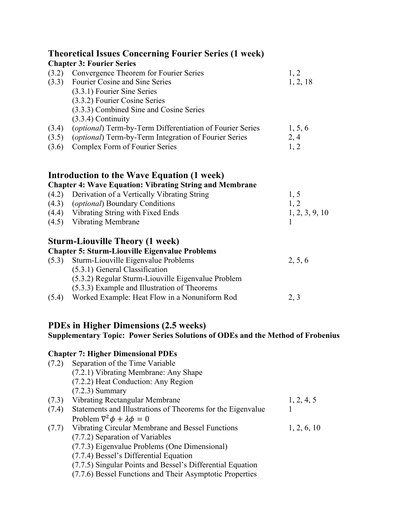|                | <b>Theoretical Issues Concerning Fourier Series (1 week)</b><br><b>Chapter 3: Fourier Series</b>                                         |                  |
|----------------|------------------------------------------------------------------------------------------------------------------------------------------|------------------|
| (3.2)<br>(3.3) | Convergence Theorem for Fourier Series<br>Fourier Cosine and Sine Series<br>(3.3.1) Fourier Sine Series<br>(3.3.2) Fourier Cosine Series | 1, 2<br>1, 2, 18 |
|                | (3.3.3) Combined Sine and Cosine Series<br>$(3.3.4)$ Continuity                                                                          |                  |
| (3.4)          | (optional) Term-by-Term Differentiation of Fourier Series                                                                                | 1, 5, 6          |
| (3.5)<br>(3.6) | (optional) Term-by-Term Integration of Fourier Series<br>Complex Form of Fourier Series                                                  | 2, 4<br>1, 2     |
|                | Introduction to the Wave Equation (1 week)                                                                                               |                  |
| (4.2)          | <b>Chapter 4: Wave Equation: Vibrating String and Membrane</b><br>Derivation of a Vertically Vibrating String                            | 1, 5             |
|                | (4.3) <i>(optional)</i> Boundary Conditions                                                                                              | 1, 2             |
|                | (4.4) Vibrating String with Fixed Ends                                                                                                   | 1, 2, 3, 9, 10   |
|                | (4.5) Vibrating Membrane                                                                                                                 |                  |
|                | Sturm-Liouville Theory (1 week)<br><b>Chapter 5: Sturm-Liouville Eigenvalue Problems</b>                                                 |                  |
| (5.3)          | Sturm-Liouville Eigenvalue Problems                                                                                                      | 2, 5, 6          |
|                | (5.3.1) General Classification                                                                                                           |                  |
|                | (5.3.2) Regular Sturm-Liouville Eigenvalue Problem                                                                                       |                  |
|                | (5.3.3) Example and Illustration of Theorems                                                                                             |                  |
|                | (5.4) Worked Example: Heat Flow in a Nonuniform Rod                                                                                      | 2, 3             |
|                | <b>PDEs in Higher Dimensions (2.5 weeks)</b><br><b>Supplementary Topic: Power Series Solutions of ODEs and the Method of Frobenius</b>   |                  |
|                | <b>Chapter 7: Higher Dimensional PDEs</b>                                                                                                |                  |
| (7.2)          | Separation of the Time Variable                                                                                                          |                  |
|                | (7.2.1) Vibrating Membrane: Any Shape                                                                                                    |                  |
|                | (7.2.2) Heat Conduction: Any Region                                                                                                      |                  |
| (7.3)          | $(7.2.3)$ Summary<br>Vibrating Rectangular Membrane                                                                                      |                  |
| (7.4)          | Statements and Illustrations of Theorems for the Eigenvalue                                                                              | 1, 2, 4, 5       |
|                | Problem $\nabla^2 \phi + \lambda \phi = 0$                                                                                               |                  |
| (7.7)          | <b>Vibrating Circular Membrane and Bessel Functions</b>                                                                                  | 1, 2, 6, 10      |
|                | (7.7.2) Separation of Variables                                                                                                          |                  |
|                | (7.7.3) Eigenvalue Problems (One Dimensional)                                                                                            |                  |
|                | (7.7.4) Bessel's Differential Equation                                                                                                   |                  |
|                | (7.7.5) Singular Points and Bessel's Differential Equation                                                                               |                  |
|                | (7.7.6) Bessel Functions and Their Asymptotic Properties                                                                                 |                  |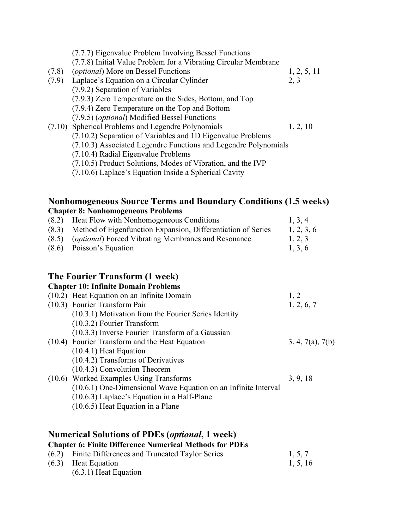|       | (7.7.7) Eigenvalue Problem Involving Bessel Functions           |             |
|-------|-----------------------------------------------------------------|-------------|
|       | (7.7.8) Initial Value Problem for a Vibrating Circular Membrane |             |
| (7.8) | <i>(optional)</i> More on Bessel Functions                      | 1, 2, 5, 11 |
| (7.9) | Laplace's Equation on a Circular Cylinder                       | 2, 3        |
|       | (7.9.2) Separation of Variables                                 |             |
|       | (7.9.3) Zero Temperature on the Sides, Bottom, and Top          |             |
|       | (7.9.4) Zero Temperature on the Top and Bottom                  |             |
|       | (7.9.5) ( <i>optional</i> ) Modified Bessel Functions           |             |
|       | (7.10) Spherical Problems and Legendre Polynomials              | 1, 2, 10    |
|       | (7.10.2) Separation of Variables and 1D Eigenvalue Problems     |             |
|       | (7.10.3) Associated Legendre Functions and Legendre Polynomials |             |
|       | (7.10.4) Radial Eigenvalue Problems                             |             |
|       | (7.10.5) Product Solutions, Modes of Vibration, and the IVP     |             |
|       | (7.10.6) Laplace's Equation Inside a Spherical Cavity           |             |
|       |                                                                 |             |

#### **Nonhomogeneous Source Terms and Boundary Conditions (1.5 weeks) Chapter 8: Nonhomogeneous Problems**

| (8.2) Heat Flow with Nonhomogeneous Conditions                     | 1, 3, 4    |
|--------------------------------------------------------------------|------------|
| (8.3) Method of Eigenfunction Expansion, Differentiation of Series | 1, 2, 3, 6 |
| (8.5) <i>(optional)</i> Forced Vibrating Membranes and Resonance   | 1, 2, 3    |
| $(8.6)$ Poisson's Equation                                         | 1, 3, 6    |

### **The Fourier Transform (1 week)**

| <b>Chapter 10: Infinite Domain Problems</b>                    |                  |
|----------------------------------------------------------------|------------------|
| (10.2) Heat Equation on an Infinite Domain                     | 1, 2             |
| (10.3) Fourier Transform Pair                                  | 1, 2, 6, 7       |
| (10.3.1) Motivation from the Fourier Series Identity           |                  |
| $(10.3.2)$ Fourier Transform                                   |                  |
| (10.3.3) Inverse Fourier Transform of a Gaussian               |                  |
| (10.4) Fourier Transform and the Heat Equation                 | 3, 4, 7(a), 7(b) |
| $(10.4.1)$ Heat Equation                                       |                  |
| $(10.4.2)$ Transforms of Derivatives                           |                  |
| $(10.4.3)$ Convolution Theorem                                 |                  |
| (10.6) Worked Examples Using Transforms                        | 3, 9, 18         |
| (10.6.1) One-Dimensional Wave Equation on an Infinite Interval |                  |
| $(10.6.3)$ Laplace's Equation in a Half-Plane                  |                  |
| $(10.6.5)$ Heat Equation in a Plane                            |                  |
|                                                                |                  |

## **Numerical Solutions of PDEs (***optional***, 1 week)**

**Chapter 6: Finite Difference Numerical Methods for PDEs**

|  | (6.2) Finite Differences and Truncated Taylor Series | 1, 5, 7  |
|--|------------------------------------------------------|----------|
|  | $(6.3)$ Heat Equation                                | 1, 5, 16 |
|  | $(6.3.1)$ Heat Equation                              |          |